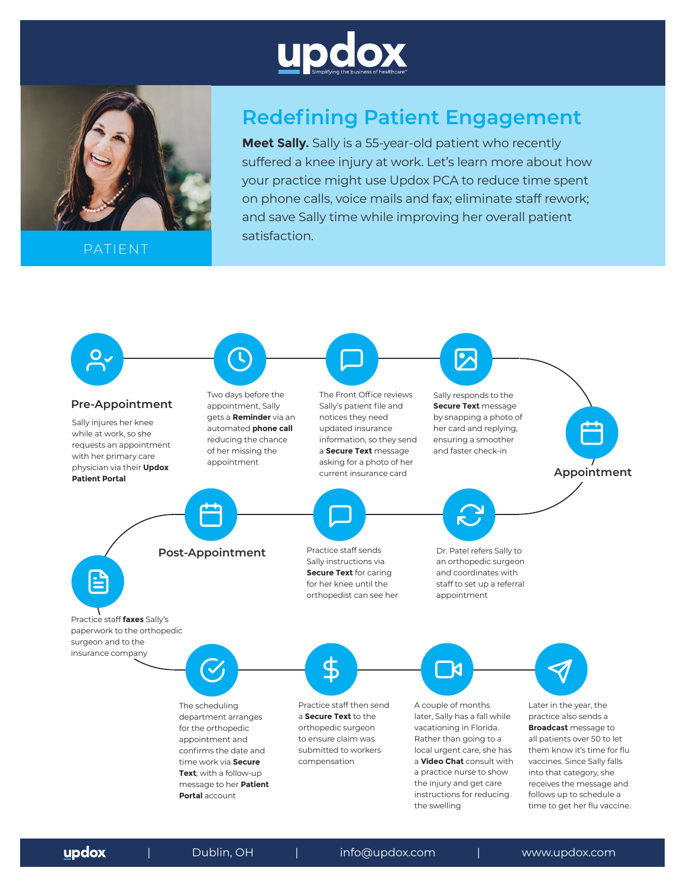



PATIENT

# **Redefining Patient Engagement**

**Meet Sally.** Sally is a 55-year-old patient who recently suffered a knee injury at work. Let's learn more about how your practice might use Updox PCA to reduce time spent on phone calls, voice mails and fax; eliminate staff rework; and save Sally time while improving her overall patient satisfaction.



updox